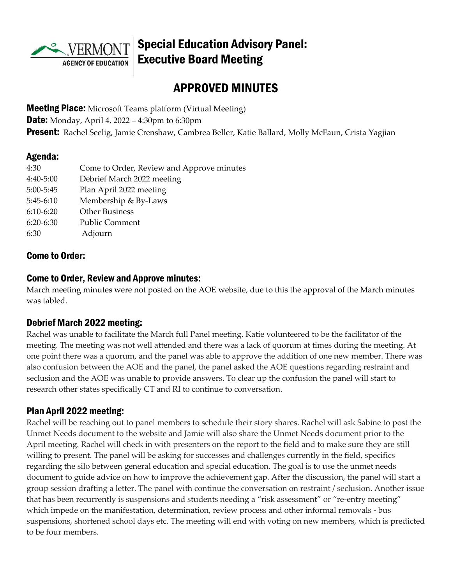

# Special Education Advisory Panel: Executive Board Meeting

# APPROVED MINUTES

**Meeting Place:** Microsoft Teams platform (Virtual Meeting) **Date:** Monday, April 4, 2022 – 4:30pm to 6:30pm **Present:** Rachel Seelig, Jamie Crenshaw, Cambrea Beller, Katie Ballard, Molly McFaun, Crista Yagjian

#### Agenda:

| 4:30        | Come to Order, Review and Approve minutes |
|-------------|-------------------------------------------|
| 4:40-5:00   | Debrief March 2022 meeting                |
| 5:00-5:45   | Plan April 2022 meeting                   |
| $5:45-6:10$ | Membership & By-Laws                      |
| $6:10-6:20$ | <b>Other Business</b>                     |
| $6:20-6:30$ | Public Comment                            |
| 6:30        | Adjourn                                   |
|             |                                           |

### Come to Order:

#### Come to Order, Review and Approve minutes:

March meeting minutes were not posted on the AOE website, due to this the approval of the March minutes was tabled.

### Debrief March 2022 meeting:

Rachel was unable to facilitate the March full Panel meeting. Katie volunteered to be the facilitator of the meeting. The meeting was not well attended and there was a lack of quorum at times during the meeting. At one point there was a quorum, and the panel was able to approve the addition of one new member. There was also confusion between the AOE and the panel, the panel asked the AOE questions regarding restraint and seclusion and the AOE was unable to provide answers. To clear up the confusion the panel will start to research other states specifically CT and RI to continue to conversation.

#### Plan April 2022 meeting:

Rachel will be reaching out to panel members to schedule their story shares. Rachel will ask Sabine to post the Unmet Needs document to the website and Jamie will also share the Unmet Needs document prior to the April meeting. Rachel will check in with presenters on the report to the field and to make sure they are still willing to present. The panel will be asking for successes and challenges currently in the field, specifics regarding the silo between general education and special education. The goal is to use the unmet needs document to guide advice on how to improve the achievement gap. After the discussion, the panel will start a group session drafting a letter. The panel with continue the conversation on restraint / seclusion. Another issue that has been recurrently is suspensions and students needing a "risk assessment" or "re-entry meeting" which impede on the manifestation, determination, review process and other informal removals - bus suspensions, shortened school days etc. The meeting will end with voting on new members, which is predicted to be four members.